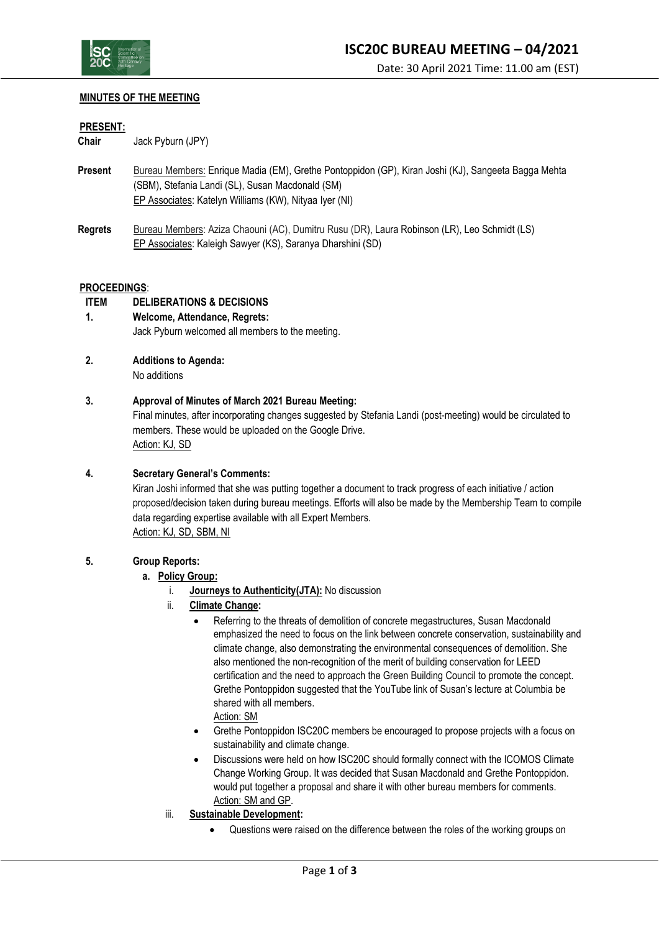

# **MINUTES OF THE MEETING**

#### **PRESENT:**

**Chair** Jack Pyburn (JPY)

- **Present** Bureau Members: Enrique Madia (EM), Grethe Pontoppidon (GP), Kiran Joshi (KJ), Sangeeta Bagga Mehta (SBM), Stefania Landi (SL), Susan Macdonald (SM) EP Associates: Katelyn Williams (KW), Nityaa Iyer (NI)
- **Regrets** Bureau Members: Aziza Chaouni (AC), Dumitru Rusu (DR), Laura Robinson (LR), Leo Schmidt (LS) EP Associates: Kaleigh Sawyer (KS), Saranya Dharshini (SD)

#### **PROCEEDINGS**:

## **ITEM DELIBERATIONS & DECISIONS**

- **1. Welcome, Attendance, Regrets:** Jack Pyburn welcomed all members to the meeting.
- **2. Additions to Agenda:**

No additions

## **3. Approval of Minutes of March 2021 Bureau Meeting:**

Final minutes, after incorporating changes suggested by Stefania Landi (post-meeting) would be circulated to members. These would be uploaded on the Google Drive. Action: KJ, SD

**4. Secretary General's Comments:**

Kiran Joshi informed that she was putting together a document to track progress of each initiative / action proposed/decision taken during bureau meetings. Efforts will also be made by the Membership Team to compile data regarding expertise available with all Expert Members. Action: KJ, SD, SBM, NI

#### **5. Group Reports:**

- **a. Policy Group:**
	- i. **Journeys to Authenticity(JTA):** No discussion
	- ii. **Climate Change:**
		- Referring to the threats of demolition of concrete megastructures, Susan Macdonald emphasized the need to focus on the link between concrete conservation, sustainability and climate change, also demonstrating the environmental consequences of demolition. She also mentioned the non-recognition of the merit of building conservation for LEED certification and the need to approach the Green Building Council to promote the concept. Grethe Pontoppidon suggested that the YouTube link of Susan's lecture at Columbia be shared with all members.
			- Action: SM
		- Grethe Pontoppidon ISC20C members be encouraged to propose projects with a focus on sustainability and climate change.
		- Discussions were held on how ISC20C should formally connect with the ICOMOS Climate Change Working Group. It was decided that Susan Macdonald and Grethe Pontoppidon. would put together a proposal and share it with other bureau members for comments. Action: SM and GP.
	- iii. **Sustainable Development:**
		- Questions were raised on the difference between the roles of the working groups on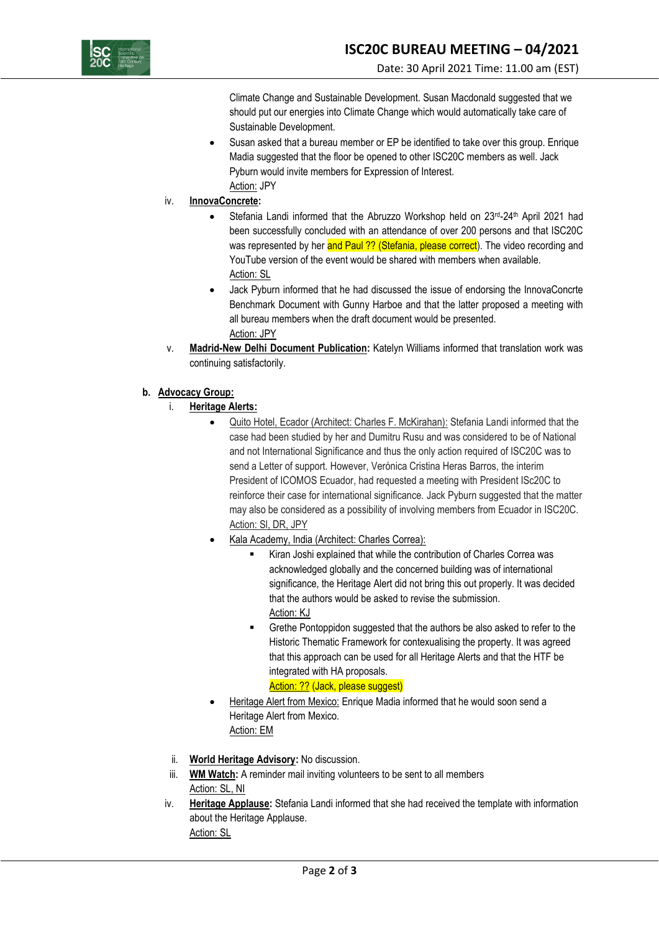

Climate Change and Sustainable Development. Susan Macdonald suggested that we should put our energies into Climate Change which would automatically take care of Sustainable Development.

- Susan asked that a bureau member or EP be identified to take over this group. Enrique Madia suggested that the floor be opened to other ISC20C members as well. Jack Pyburn would invite members for Expression of Interest. Action: JPY
- iv. **InnovaConcrete:**
	- Stefania Landi informed that the Abruzzo Workshop held on 23rd-24th April 2021 had been successfully concluded with an attendance of over 200 persons and that ISC20C was represented by her and Paul ?? (Stefania, please correct). The video recording and YouTube version of the event would be shared with members when available. Action: SL
	- Jack Pyburn informed that he had discussed the issue of endorsing the InnovaConcrte Benchmark Document with Gunny Harboe and that the latter proposed a meeting with all bureau members when the draft document would be presented. Action: JPY
- v. **Madrid-New Delhi Document Publication:** Katelyn Williams informed that translation work was continuing satisfactorily.
- **b. Advocacy Group:**
	- i. **Heritage Alerts:**
		- Quito Hotel, Ecador (Architect: Charles F. McKirahan): Stefania Landi informed that the case had been studied by her and Dumitru Rusu and was considered to be of National and not International Significance and thus the only action required of ISC20C was to send a Letter of support. However, Verónica Cristina Heras Barros, the interim President of ICOMOS Ecuador, had requested a meeting with President ISc20C to reinforce their case for international significance. Jack Pyburn suggested that the matter may also be considered as a possibility of involving members from Ecuador in ISC20C. Action: Sl, DR, JPY
		- Kala Academy, India (Architect: Charles Correa):
			- Kiran Joshi explained that while the contribution of Charles Correa was acknowledged globally and the concerned building was of international significance, the Heritage Alert did not bring this out properly. It was decided that the authors would be asked to revise the submission. Action: KJ
			- Grethe Pontoppidon suggested that the authors be also asked to refer to the Historic Thematic Framework for contexualising the property. It was agreed that this approach can be used for all Heritage Alerts and that the HTF be integrated with HA proposals.

# Action: ?? (Jack, please suggest)

- Heritage Alert from Mexico: Enrique Madia informed that he would soon send a Heritage Alert from Mexico. Action: EM
- ii. **World Heritage Advisory:** No discussion.
- iii. **WM Watch:** A reminder mail inviting volunteers to be sent to all members Action: SL, NI
- iv. **Heritage Applause:** Stefania Landi informed that she had received the template with information about the Heritage Applause. Action: SL